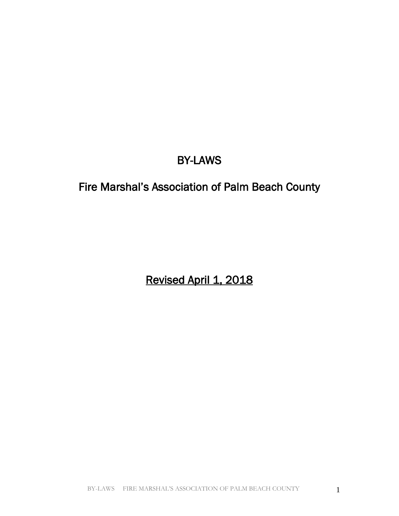# BY-LAWS

# Fire Marshal's Association of Palm Beach County

Revised April 1, 2018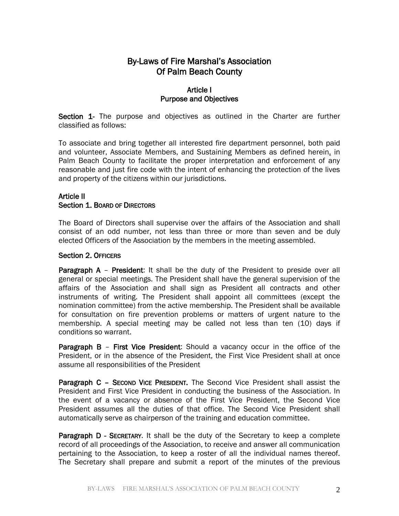# By-Laws of Fire Marshal's Association Of Palm Beach County

### Article I Purpose and Objectives

Section 1- The purpose and objectives as outlined in the Charter are further classified as follows:

To associate and bring together all interested fire department personnel, both paid and volunteer, Associate Members, and Sustaining Members as defined herein, in Palm Beach County to facilitate the proper interpretation and enforcement of any reasonable and just fire code with the intent of enhancing the protection of the lives and property of the citizens within our jurisdictions.

#### Article II Section 1. BOARD OF DIRECTORS

The Board of Directors shall supervise over the affairs of the Association and shall consist of an odd number, not less than three or more than seven and be duly elected Officers of the Association by the members in the meeting assembled.

#### Section 2. OFFICERS

**Paragraph A – President:** It shall be the duty of the President to preside over all general or special meetings. The President shall have the general supervision of the affairs of the Association and shall sign as President all contracts and other instruments of writing. The President shall appoint all committees (except the nomination committee) from the active membership. The President shall be available for consultation on fire prevention problems or matters of urgent nature to the membership. A special meeting may be called not less than ten (10) days if conditions so warrant.

**Paragraph B – First Vice President:** Should a vacancy occur in the office of the President, or in the absence of the President, the First Vice President shall at once assume all responsibilities of the President

Paragraph C – SECOND VICE PRESIDENT. The Second Vice President shall assist the President and First Vice President in conducting the business of the Association. In the event of a vacancy or absence of the First Vice President, the Second Vice President assumes all the duties of that office. The Second Vice President shall automatically serve as chairperson of the training and education committee.

Paragraph D - SECRETARY. It shall be the duty of the Secretary to keep a complete record of all proceedings of the Association, to receive and answer all communication pertaining to the Association, to keep a roster of all the individual names thereof. The Secretary shall prepare and submit a report of the minutes of the previous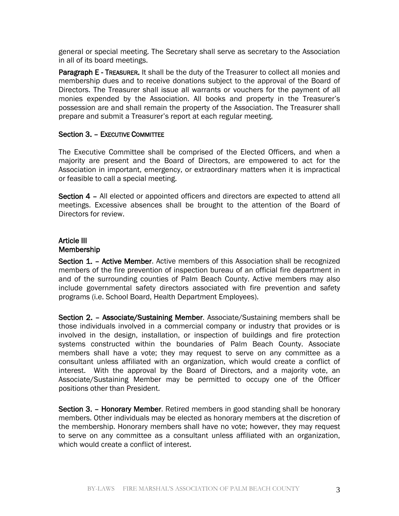general or special meeting. The Secretary shall serve as secretary to the Association in all of its board meetings.

Paragraph E - TREASURER. It shall be the duty of the Treasurer to collect all monies and membership dues and to receive donations subject to the approval of the Board of Directors. The Treasurer shall issue all warrants or vouchers for the payment of all monies expended by the Association. All books and property in the Treasurer's possession are and shall remain the property of the Association. The Treasurer shall prepare and submit a Treasurer's report at each regular meeting.

#### Section 3. – EXECUTIVE COMMITTEE

The Executive Committee shall be comprised of the Elected Officers, and when a majority are present and the Board of Directors, are empowered to act for the Association in important, emergency, or extraordinary matters when it is impractical or feasible to call a special meeting.

Section 4 – All elected or appointed officers and directors are expected to attend all meetings. Excessive absences shall be brought to the attention of the Board of Directors for review.

#### Article III Membership

Section 1. - Active Member. Active members of this Association shall be recognized members of the fire prevention of inspection bureau of an official fire department in and of the surrounding counties of Palm Beach County. Active members may also include governmental safety directors associated with fire prevention and safety programs (i.e. School Board, Health Department Employees).

Section 2. – Associate/Sustaining Member. Associate/Sustaining members shall be those individuals involved in a commercial company or industry that provides or is involved in the design, installation, or inspection of buildings and fire protection systems constructed within the boundaries of Palm Beach County. Associate members shall have a vote; they may request to serve on any committee as a consultant unless affiliated with an organization, which would create a conflict of interest. With the approval by the Board of Directors, and a majority vote, an Associate/Sustaining Member may be permitted to occupy one of the Officer positions other than President.

Section 3. – Honorary Member. Retired members in good standing shall be honorary members. Other individuals may be elected as honorary members at the discretion of the membership. Honorary members shall have no vote; however, they may request to serve on any committee as a consultant unless affiliated with an organization, which would create a conflict of interest.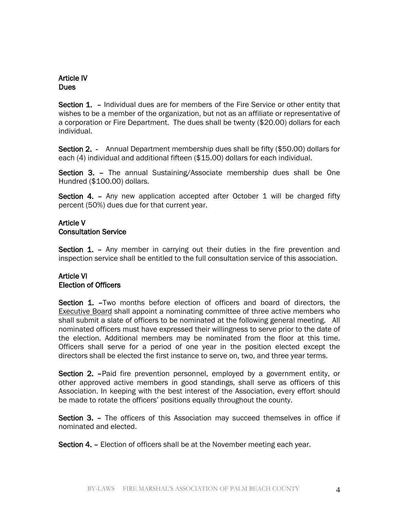# Article IV **Dues**

Section 1. – Individual dues are for members of the Fire Service or other entity that wishes to be a member of the organization, but not as an affiliate or representative of a corporation or Fire Department. The dues shall be twenty (\$20.00) dollars for each individual.

Section 2. - Annual Department membership dues shall be fifty (\$50.00) dollars for each (4) individual and additional fifteen (\$15.00) dollars for each individual.

Section 3. – The annual Sustaining/Associate membership dues shall be One Hundred (\$100.00) dollars.

Section 4. – Any new application accepted after October 1 will be charged fifty percent (50%) dues due for that current year.

### Article V Consultation Service

Section 1. – Any member in carrying out their duties in the fire prevention and inspection service shall be entitled to the full consultation service of this association.

# Article VI Election of Officers

Section 1. –Two months before election of officers and board of directors, the **Executive Board shall appoint a nominating committee of three active members who** shall submit a slate of officers to be nominated at the following general meeting. All nominated officers must have expressed their willingness to serve prior to the date of the election. Additional members may be nominated from the floor at this time. Officers shall serve for a period of one year in the position elected except the directors shall be elected the first instance to serve on, two, and three year terms.

Section 2. –Paid fire prevention personnel, employed by a government entity, or other approved active members in good standings, shall serve as officers of this Association. In keeping with the best interest of the Association, every effort should be made to rotate the officers' positions equally throughout the county.

Section 3. – The officers of this Association may succeed themselves in office if nominated and elected.

Section 4. – Election of officers shall be at the November meeting each year.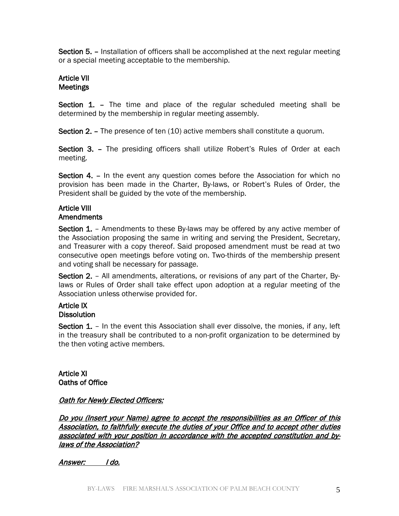Section 5. – Installation of officers shall be accomplished at the next regular meeting or a special meeting acceptable to the membership.

# Article VII Meetings

Section 1. – The time and place of the regular scheduled meeting shall be determined by the membership in regular meeting assembly.

Section 2. – The presence of ten (10) active members shall constitute a quorum.

Section 3. – The presiding officers shall utilize Robert's Rules of Order at each meeting.

Section 4. - In the event any question comes before the Association for which no provision has been made in the Charter, By-laws, or Robert's Rules of Order, the President shall be guided by the vote of the membership.

# Article VIII

#### Amendments

Section 1. – Amendments to these By-laws may be offered by any active member of the Association proposing the same in writing and serving the President, Secretary, and Treasurer with a copy thereof. Said proposed amendment must be read at two consecutive open meetings before voting on. Two-thirds of the membership present and voting shall be necessary for passage.

Section 2. – All amendments, alterations, or revisions of any part of the Charter, Bylaws or Rules of Order shall take effect upon adoption at a regular meeting of the Association unless otherwise provided for.

#### Article IX **Dissolution**

Section 1. – In the event this Association shall ever dissolve, the monies, if any, left in the treasury shall be contributed to a non-profit organization to be determined by the then voting active members.

Article XI Oaths of Office

### Oath for Newly Elected Officers:

Do you (Insert your Name) agree to accept the responsibilities as an Officer of this Association, to faithfully execute the duties of your Office and to accept other duties associated with your position in accordance with the accepted constitution and bylaws of the Association?

Answer: I do.